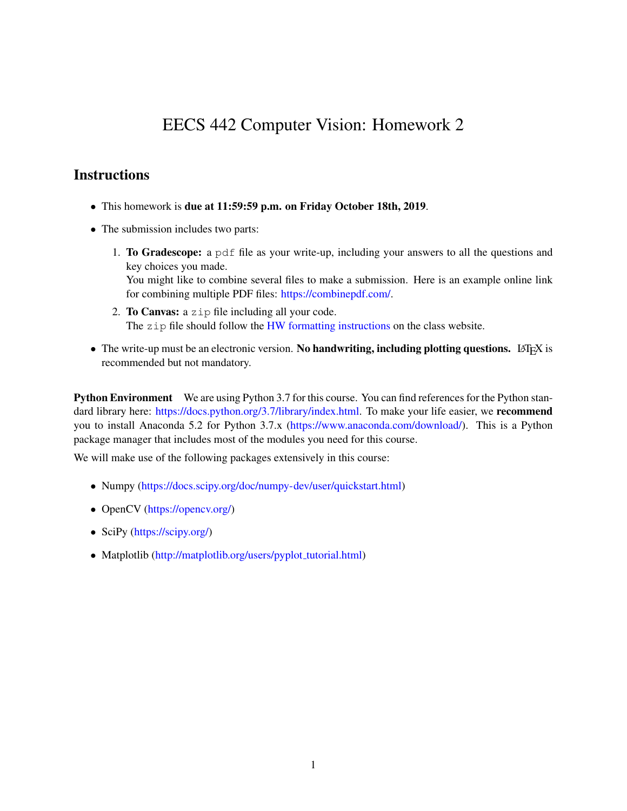# EECS 442 Computer Vision: Homework 2

### **Instructions**

- This homework is due at 11:59:59 p.m. on Friday October 18th, 2019.
- The submission includes two parts:
	- 1. To Gradescope: a pdf file as your write-up, including your answers to all the questions and key choices you made. You might like to combine several files to make a submission. Here is an example online link for combining multiple PDF files: [https://combinepdf.com/.](https://combinepdf.com/)
	- 2. To Canvas: a zip file including all your code. The zip file should follow the [HW formatting instructions](https://web.eecs.umich.edu/~fouhey/teaching/EECS442_F19/format.html) on the class website.
- The write-up must be an electronic version. No handwriting, including plotting questions. LATEX is recommended but not mandatory.

Python Environment We are using Python 3.7 for this course. You can find references for the Python standard library here: [https://docs.python.org/3.7/library/index.html.](https://docs.python.org/3.7/library/index.html) To make your life easier, we recommend you to install Anaconda 5.2 for Python 3.7.x [\(https://www.anaconda.com/download/\)](https://www.anaconda.com/download/). This is a Python package manager that includes most of the modules you need for this course.

We will make use of the following packages extensively in this course:

- Numpy [\(https://docs.scipy.org/doc/numpy-dev/user/quickstart.html\)](https://docs.scipy.org/doc/numpy-dev/user/quickstart.html)
- OpenCV (https://opency.org/)
- SciPy [\(https://scipy.org/\)](https://scipy.org/)
- Matplotlib [\(http://matplotlib.org/users/pyplot](http://matplotlib.org/users/pyplot_tutorial.html)\_tutorial.html)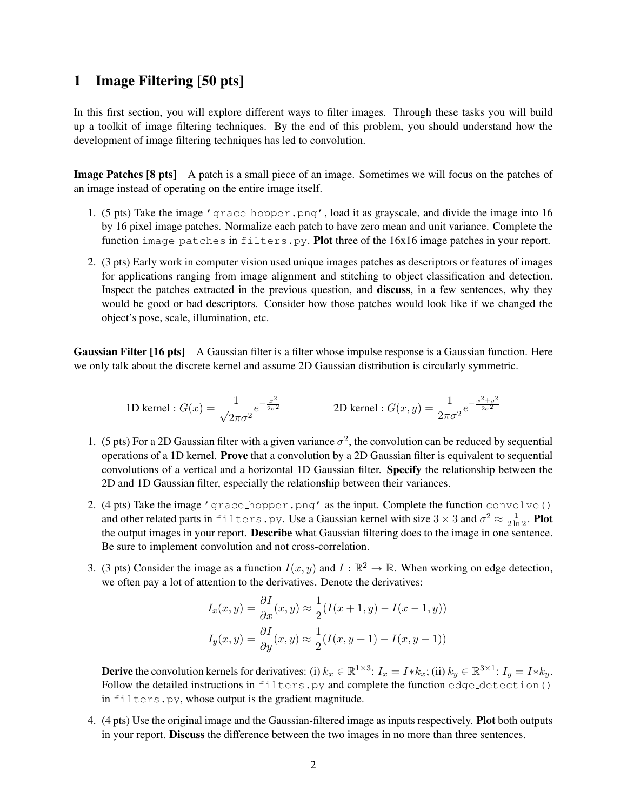## 1 Image Filtering [50 pts]

In this first section, you will explore different ways to filter images. Through these tasks you will build up a toolkit of image filtering techniques. By the end of this problem, you should understand how the development of image filtering techniques has led to convolution.

Image Patches [8 pts] A patch is a small piece of an image. Sometimes we will focus on the patches of an image instead of operating on the entire image itself.

- 1. (5 pts) Take the image 'grace hopper.png', load it as grayscale, and divide the image into 16 by 16 pixel image patches. Normalize each patch to have zero mean and unit variance. Complete the function image patches in filters.py. **Plot** three of the 16x16 image patches in your report.
- 2. (3 pts) Early work in computer vision used unique images patches as descriptors or features of images for applications ranging from image alignment and stitching to object classification and detection. Inspect the patches extracted in the previous question, and discuss, in a few sentences, why they would be good or bad descriptors. Consider how those patches would look like if we changed the object's pose, scale, illumination, etc.

Gaussian Filter [16 pts] A Gaussian filter is a filter whose impulse response is a Gaussian function. Here we only talk about the discrete kernel and assume 2D Gaussian distribution is circularly symmetric.

1D kernal : 
$$
G(x) = \frac{1}{\sqrt{2\pi\sigma^2}} e^{-\frac{x^2}{2\sigma^2}}
$$
 2D kernal :  $G(x, y) = \frac{1}{2\pi\sigma^2} e^{-\frac{x^2 + y^2}{2\sigma^2}}$ 

- 1. (5 pts) For a 2D Gaussian filter with a given variance  $\sigma^2$ , the convolution can be reduced by sequential operations of a 1D kernel. Prove that a convolution by a 2D Gaussian filter is equivalent to sequential convolutions of a vertical and a horizontal 1D Gaussian filter. Specify the relationship between the 2D and 1D Gaussian filter, especially the relationship between their variances.
- 2. (4 pts) Take the image 'grace hopper.png' as the input. Complete the function convolve() and other related parts in filters.py. Use a Gaussian kernel with size  $3 \times 3$  and  $\sigma^2 \approx \frac{1}{2 \ln 2}$ . Plot the output images in your report. Describe what Gaussian filtering does to the image in one sentence. Be sure to implement convolution and not cross-correlation.
- 3. (3 pts) Consider the image as a function  $I(x, y)$  and  $I : \mathbb{R}^2 \to \mathbb{R}$ . When working on edge detection, we often pay a lot of attention to the derivatives. Denote the derivatives:

$$
I_x(x, y) = \frac{\partial I}{\partial x}(x, y) \approx \frac{1}{2}(I(x + 1, y) - I(x - 1, y))
$$

$$
I_y(x, y) = \frac{\partial I}{\partial y}(x, y) \approx \frac{1}{2}(I(x, y + 1) - I(x, y - 1))
$$

**Derive** the convolution kernels for derivatives: (i)  $k_x \in \mathbb{R}^{1 \times 3}$ :  $I_x = I * k_x$ ; (ii)  $k_y \in \mathbb{R}^{3 \times 1}$ :  $I_y = I * k_y$ . Follow the detailed instructions in filters.py and complete the function edge\_detection() in filters.py, whose output is the gradient magnitude.

4. (4 pts) Use the original image and the Gaussian-filtered image as inputs respectively. Plot both outputs in your report. Discuss the difference between the two images in no more than three sentences.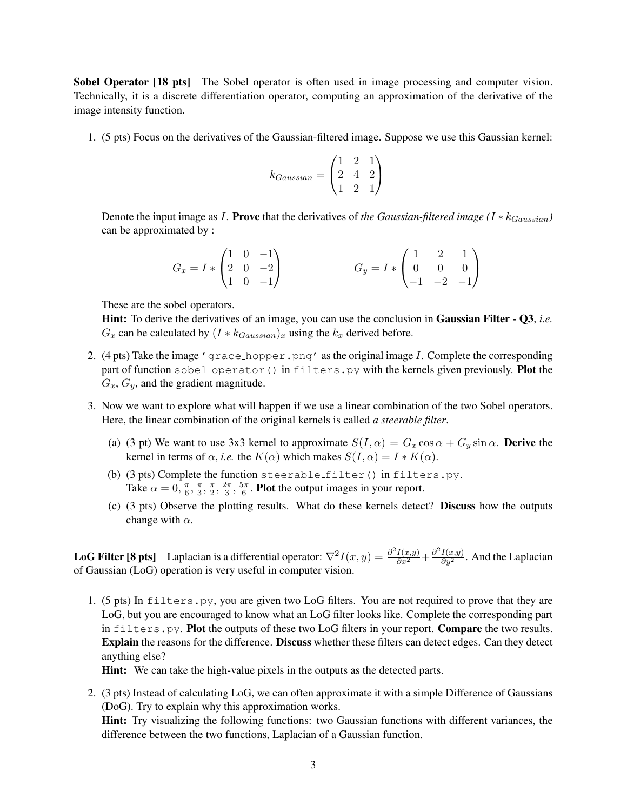Sobel Operator [18 pts] The Sobel operator is often used in image processing and computer vision. Technically, it is a discrete differentiation operator, computing an approximation of the derivative of the image intensity function.

1. (5 pts) Focus on the derivatives of the Gaussian-filtered image. Suppose we use this Gaussian kernel:

$$
k_{Gaussian} = \begin{pmatrix} 1 & 2 & 1 \\ 2 & 4 & 2 \\ 1 & 2 & 1 \end{pmatrix}
$$

Denote the input image as I. Prove that the derivatives of *the Gaussian-filtered image* ( $I * k_{Gaussian}$ ) can be approximated by :

$$
G_x = I * \begin{pmatrix} 1 & 0 & -1 \\ 2 & 0 & -2 \\ 1 & 0 & -1 \end{pmatrix} \qquad G_y = I * \begin{pmatrix} 1 & 2 & 1 \\ 0 & 0 & 0 \\ -1 & -2 & -1 \end{pmatrix}
$$

These are the sobel operators.

Hint: To derive the derivatives of an image, you can use the conclusion in Gaussian Filter - Q3, *i.e.*  $G_x$  can be calculated by  $(I * k_{Gaussian})_x$  using the  $k_x$  derived before.

- 2. (4 pts) Take the image 'grace\_hopper.png' as the original image  $I$ . Complete the corresponding part of function sobel operator() in filters.py with the kernels given previously. Plot the  $G_x, G_y$ , and the gradient magnitude.
- 3. Now we want to explore what will happen if we use a linear combination of the two Sobel operators. Here, the linear combination of the original kernels is called *a steerable filter*.
	- (a) (3 pt) We want to use 3x3 kernel to approximate  $S(I, \alpha) = G_x \cos \alpha + G_y \sin \alpha$ . Derive the kernel in terms of  $\alpha$ , *i.e.* the  $K(\alpha)$  which makes  $S(I, \alpha) = I * K(\alpha)$ .
	- (b)  $(3 \text{ pts})$  Complete the function steerable filter() in filters.py. Take  $\alpha = 0, \frac{\pi}{6}$  $\frac{\pi}{6}, \frac{\pi}{3}$  $\frac{\pi}{3}, \frac{\pi}{2}$  $\frac{\pi}{2}, \frac{2\pi}{3}$  $\frac{2\pi}{3}, \frac{5\pi}{6}$  $\frac{6}{6}$ . Plot the output images in your report.
	- (c) (3 pts) Observe the plotting results. What do these kernels detect? Discuss how the outputs change with  $\alpha$ .

**LoG Filter** [8 pts] Laplacian is a differential operator:  $\nabla^2 I(x, y) = \frac{\partial^2 I(x, y)}{\partial x^2} + \frac{\partial^2 I(x, y)}{\partial y^2}$ . And the Laplacian of Gaussian (LoG) operation is very useful in computer vision.

1. (5 pts) In filters.py, you are given two LoG filters. You are not required to prove that they are LoG, but you are encouraged to know what an LoG filter looks like. Complete the corresponding part in filters.py. Plot the outputs of these two LoG filters in your report. Compare the two results. Explain the reasons for the difference. Discuss whether these filters can detect edges. Can they detect anything else?

Hint: We can take the high-value pixels in the outputs as the detected parts.

2. (3 pts) Instead of calculating LoG, we can often approximate it with a simple Difference of Gaussians (DoG). Try to explain why this approximation works. Hint: Try visualizing the following functions: two Gaussian functions with different variances, the difference between the two functions, Laplacian of a Gaussian function.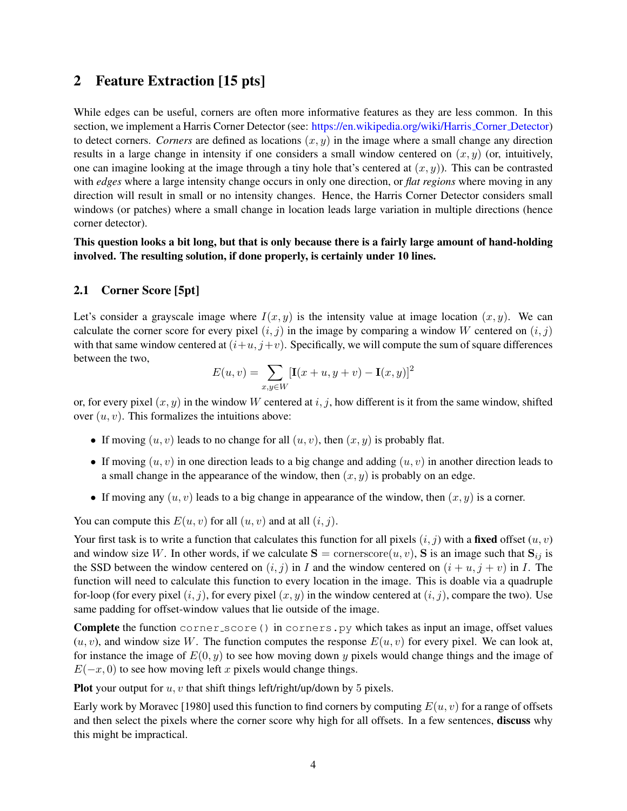### 2 Feature Extraction [15 pts]

While edges can be useful, corners are often more informative features as they are less common. In this section, we implement a Harris Corner Detector (see: [https://en.wikipedia.org/wiki/Harris](https://en.wikipedia.org/wiki/Harris_Corner_Detector)\_Corner\_Detector) to detect corners. *Corners* are defined as locations  $(x, y)$  in the image where a small change any direction results in a large change in intensity if one considers a small window centered on  $(x, y)$  (or, intuitively, one can imagine looking at the image through a tiny hole that's centered at  $(x, y)$ ). This can be contrasted with *edges* where a large intensity change occurs in only one direction, or *flat regions* where moving in any direction will result in small or no intensity changes. Hence, the Harris Corner Detector considers small windows (or patches) where a small change in location leads large variation in multiple directions (hence corner detector).

This question looks a bit long, but that is only because there is a fairly large amount of hand-holding involved. The resulting solution, if done properly, is certainly under 10 lines.

### 2.1 Corner Score [5pt]

Let's consider a grayscale image where  $I(x, y)$  is the intensity value at image location  $(x, y)$ . We can calculate the corner score for every pixel  $(i, j)$  in the image by comparing a window W centered on  $(i, j)$ with that same window centered at  $(i+u, j+v)$ . Specifically, we will compute the sum of square differences between the two,

$$
E(u, v) = \sum_{x, y \in W} [\mathbf{I}(x + u, y + v) - \mathbf{I}(x, y)]^2
$$

or, for every pixel  $(x, y)$  in the window W centered at i, j, how different is it from the same window, shifted over  $(u, v)$ . This formalizes the intuitions above:

- If moving  $(u, v)$  leads to no change for all  $(u, v)$ , then  $(x, y)$  is probably flat.
- If moving  $(u, v)$  in one direction leads to a big change and adding  $(u, v)$  in another direction leads to a small change in the appearance of the window, then  $(x, y)$  is probably on an edge.
- If moving any  $(u, v)$  leads to a big change in appearance of the window, then  $(x, y)$  is a corner.

You can compute this  $E(u, v)$  for all  $(u, v)$  and at all  $(i, j)$ .

Your first task is to write a function that calculates this function for all pixels  $(i, j)$  with a fixed offset  $(u, v)$ and window size W. In other words, if we calculate  $S = \text{compression}(u, v)$ , S is an image such that  $S_{ij}$  is the SSD between the window centered on  $(i, j)$  in I and the window centered on  $(i + u, j + v)$  in I. The function will need to calculate this function to every location in the image. This is doable via a quadruple for-loop (for every pixel  $(i, j)$ , for every pixel  $(x, y)$  in the window centered at  $(i, j)$ , compare the two). Use same padding for offset-window values that lie outside of the image.

Complete the function corner score() in corners. py which takes as input an image, offset values  $(u, v)$ , and window size W. The function computes the response  $E(u, v)$  for every pixel. We can look at, for instance the image of  $E(0, y)$  to see how moving down y pixels would change things and the image of  $E(-x, 0)$  to see how moving left x pixels would change things.

**Plot** your output for  $u, v$  that shift things left/right/up/down by 5 pixels.

Early work by Moravec [1980] used this function to find corners by computing  $E(u, v)$  for a range of offsets and then select the pixels where the corner score why high for all offsets. In a few sentences, discuss why this might be impractical.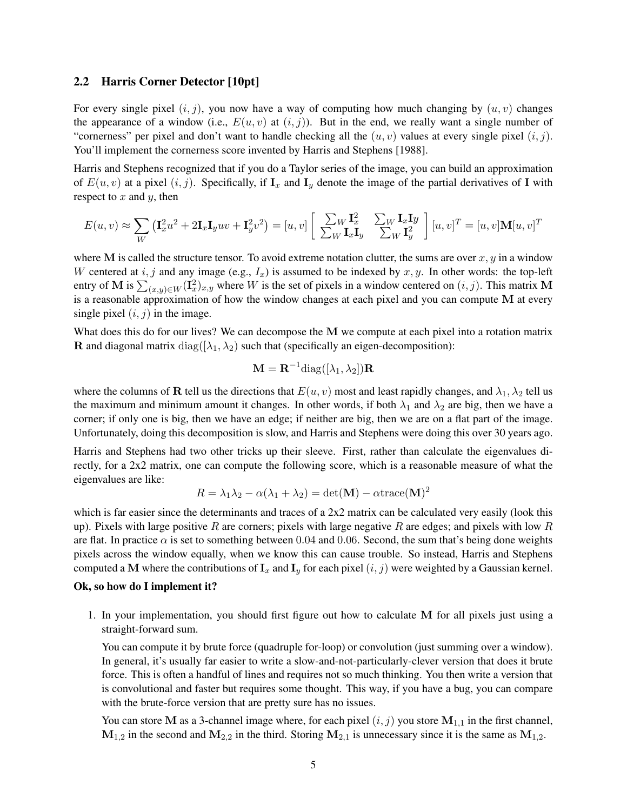### 2.2 Harris Corner Detector [10pt]

For every single pixel  $(i, j)$ , you now have a way of computing how much changing by  $(u, v)$  changes the appearance of a window (i.e.,  $E(u, v)$  at  $(i, j)$ ). But in the end, we really want a single number of "cornerness" per pixel and don't want to handle checking all the  $(u, v)$  values at every single pixel  $(i, j)$ . You'll implement the cornerness score invented by Harris and Stephens [1988].

Harris and Stephens recognized that if you do a Taylor series of the image, you can build an approximation of  $E(u, v)$  at a pixel  $(i, j)$ . Specifically, if  $\mathbf{I}_x$  and  $\mathbf{I}_y$  denote the image of the partial derivatives of I with respect to  $x$  and  $y$ , then

$$
E(u, v) \approx \sum_{W} \left( \mathbf{I}_x^2 u^2 + 2\mathbf{I}_x \mathbf{I}_y uv + \mathbf{I}_y^2 v^2 \right) = [u, v] \left[ \begin{array}{cc} \sum_{W} \mathbf{I}_x^2 & \sum_{W} \mathbf{I}_x \mathbf{I}_y \\ \sum_{W} \mathbf{I}_x \mathbf{I}_y & \sum_{W} \mathbf{I}_y^2 \end{array} \right] [u, v]^T = [u, v] \mathbf{M} [u, v]^T
$$

where M is called the structure tensor. To avoid extreme notation clutter, the sums are over  $x, y$  in a window W centered at i, j and any image (e.g.,  $I_x$ ) is assumed to be indexed by x, y. In other words: the top-left entry of M is  $\sum_{(x,y)\in W}(\mathbf{I}_x^2)_{x,y}$  where W is the set of pixels in a window centered on  $(i, j)$ . This matrix M is a reasonable approximation of how the window changes at each pixel and you can compute M at every single pixel  $(i, j)$  in the image.

What does this do for our lives? We can decompose the M we compute at each pixel into a rotation matrix **R** and diagonal matrix diag( $[\lambda_1, \lambda_2)$  such that (specifically an eigen-decomposition):

$$
\mathbf{M} = \mathbf{R}^{-1}\text{diag}([\lambda_1,\lambda_2])\mathbf{R}
$$

where the columns of **R** tell us the directions that  $E(u, v)$  most and least rapidly changes, and  $\lambda_1, \lambda_2$  tell us the maximum and minimum amount it changes. In other words, if both  $\lambda_1$  and  $\lambda_2$  are big, then we have a corner; if only one is big, then we have an edge; if neither are big, then we are on a flat part of the image. Unfortunately, doing this decomposition is slow, and Harris and Stephens were doing this over 30 years ago.

Harris and Stephens had two other tricks up their sleeve. First, rather than calculate the eigenvalues directly, for a 2x2 matrix, one can compute the following score, which is a reasonable measure of what the eigenvalues are like:

$$
R = \lambda_1 \lambda_2 - \alpha(\lambda_1 + \lambda_2) = \det(\mathbf{M}) - \alpha \text{trace}(\mathbf{M})^2
$$

which is far easier since the determinants and traces of a 2x2 matrix can be calculated very easily (look this up). Pixels with large positive R are corners; pixels with large negative R are edges; and pixels with low R are flat. In practice  $\alpha$  is set to something between 0.04 and 0.06. Second, the sum that's being done weights pixels across the window equally, when we know this can cause trouble. So instead, Harris and Stephens computed a M where the contributions of  $\mathbf{I}_x$  and  $\mathbf{I}_y$  for each pixel  $(i, j)$  were weighted by a Gaussian kernel.

#### Ok, so how do I implement it?

1. In your implementation, you should first figure out how to calculate M for all pixels just using a straight-forward sum.

You can compute it by brute force (quadruple for-loop) or convolution (just summing over a window). In general, it's usually far easier to write a slow-and-not-particularly-clever version that does it brute force. This is often a handful of lines and requires not so much thinking. You then write a version that is convolutional and faster but requires some thought. This way, if you have a bug, you can compare with the brute-force version that are pretty sure has no issues.

You can store M as a 3-channel image where, for each pixel  $(i, j)$  you store  $M_{1,1}$  in the first channel,  $M_{1,2}$  in the second and  $M_{2,2}$  in the third. Storing  $M_{2,1}$  is unnecessary since it is the same as  $M_{1,2}$ .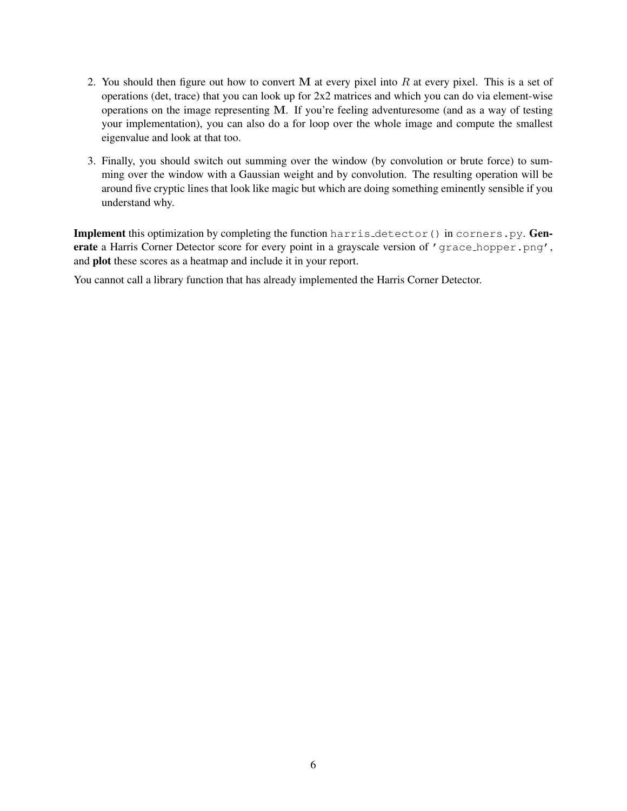- 2. You should then figure out how to convert M at every pixel into R at every pixel. This is a set of operations (det, trace) that you can look up for 2x2 matrices and which you can do via element-wise operations on the image representing M. If you're feeling adventuresome (and as a way of testing your implementation), you can also do a for loop over the whole image and compute the smallest eigenvalue and look at that too.
- 3. Finally, you should switch out summing over the window (by convolution or brute force) to summing over the window with a Gaussian weight and by convolution. The resulting operation will be around five cryptic lines that look like magic but which are doing something eminently sensible if you understand why.

Implement this optimization by completing the function harris detector () in corners.py. Generate a Harris Corner Detector score for every point in a grayscale version of 'grace\_hopper.png', and plot these scores as a heatmap and include it in your report.

You cannot call a library function that has already implemented the Harris Corner Detector.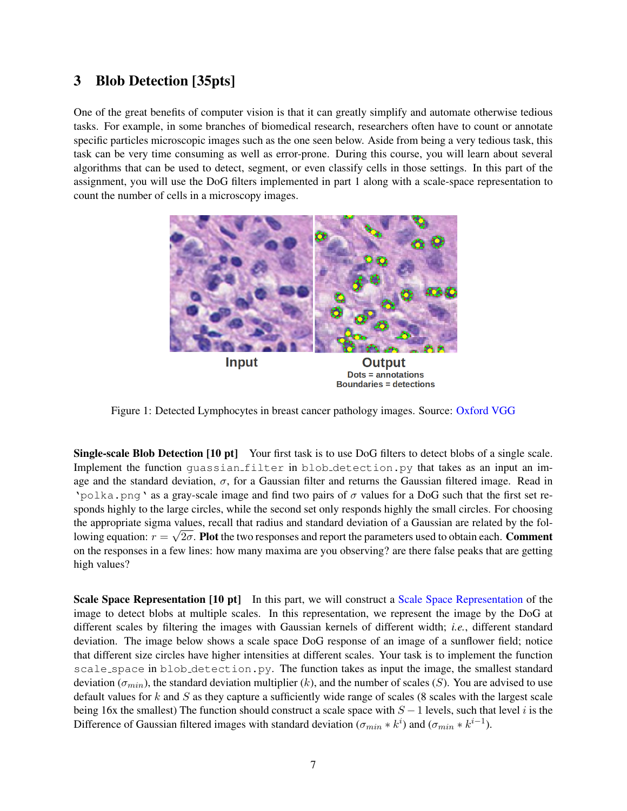## 3 Blob Detection [35pts]

One of the great benefits of computer vision is that it can greatly simplify and automate otherwise tedious tasks. For example, in some branches of biomedical research, researchers often have to count or annotate specific particles microscopic images such as the one seen below. Aside from being a very tedious task, this task can be very time consuming as well as error-prone. During this course, you will learn about several algorithms that can be used to detect, segment, or even classify cells in those settings. In this part of the assignment, you will use the DoG filters implemented in part 1 along with a scale-space representation to count the number of cells in a microscopy images.



 $Dots =$  annotations **Boundaries = detections** 

Figure 1: Detected Lymphocytes in breast cancer pathology images. Source: [Oxford VGG](http://www.robots.ox.ac.uk/~vgg/research/cell_detection/)

Single-scale Blob Detection [10 pt] Your first task is to use DoG filters to detect blobs of a single scale. Implement the function guassian filter in blob detection.py that takes as an input an image and the standard deviation,  $\sigma$ , for a Gaussian filter and returns the Gaussian filtered image. Read in 'polka.png' as a gray-scale image and find two pairs of  $\sigma$  values for a DoG such that the first set responds highly to the large circles, while the second set only responds highly the small circles. For choosing the appropriate sigma values, recall that radius and standard deviation of a Gaussian are related by the following equation:  $r = \sqrt{2\sigma}$ . Plot the two responses and report the parameters used to obtain each. Comment on the responses in a few lines: how many maxima are you observing? are there false peaks that are getting high values?

[Scale Space Representation](https://en.wikipedia.org/wiki/Scale_space) [10 pt] In this part, we will construct a Scale Space Representation of the image to detect blobs at multiple scales. In this representation, we represent the image by the DoG at different scales by filtering the images with Gaussian kernels of different width; *i.e.*, different standard deviation. The image below shows a scale space DoG response of an image of a sunflower field; notice that different size circles have higher intensities at different scales. Your task is to implement the function scale\_space in blob\_detection.py. The function takes as input the image, the smallest standard deviation ( $\sigma_{min}$ ), the standard deviation multiplier (k), and the number of scales (S). You are advised to use default values for  $k$  and  $S$  as they capture a sufficiently wide range of scales (8 scales with the largest scale being 16x the smallest) The function should construct a scale space with  $S - 1$  levels, such that level i is the Difference of Gaussian filtered images with standard deviation  $(\sigma_{min} * k^i)$  and  $(\sigma_{min} * k^{i-1})$ .